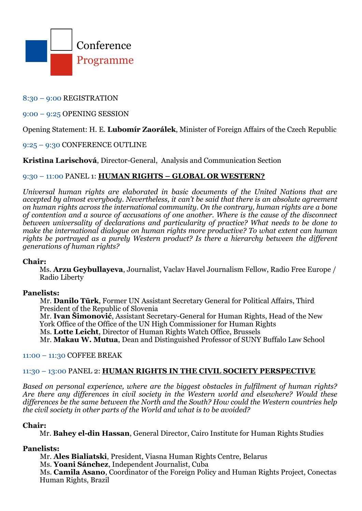

# 8:30 – 9:00 REGISTRATION

### 9:00 – 9:25 OPENING SESSION

# Opening Statement: H. E. **Lubomír Zaorálek**, Minister of Foreign Affairs of the Czech Republic

## 9:25 – 9:30 CONFERENCE OUTLINE

## **Kristina Larischová**, Director-General, Analysis and Communication Section

# 9:30 – 11:00 PANEL 1: **HUMAN RIGHTS – GLOBAL OR WESTERN?**

*Universal human rights are elaborated in basic documents of the United Nations that are accepted by almost everybody. Nevertheless, it can't be said that there is an absolute agreement on human rights across the international community. On the contrary, human rights are a bone of contention and a source of accusations of one another. Where is the cause of the disconnect between universality of declarations and particularity of practice? What needs to be done to make the international dialogue on human rights more productive? To what extent can human rights be portrayed as a purely Western product? Is there a hierarchy between the different generations of human rights?* 

#### **Chair:**

Ms. **Arzu Geybullayeva**, Journalist, Vaclav Havel Journalism Fellow, Radio Free Europe / Radio Liberty

## **Panelists:**

Mr. **Danilo Tūrk**, Former UN Assistant Secretary General for Political Affairs, Third President of the Republic of Slovenia Mr. **Ivan Šimonović**, Assistant Secretary-General for Human Rights, Head of the New

York Office of the Office of the UN High Commissioner for Human Rights

Ms. **Lotte Leicht**, Director of Human Rights Watch Office, Brussels

Mr. **Makau W. Mutua**, Dean and Distinguished Professor of SUNY Buffalo Law School

#### 11:00 – 11:30 COFFEE BREAK

#### 11:30 – 13:00 PANEL 2: **HUMAN RIGHTS IN THE CIVIL SOCIETY PERSPECTIVE**

*Based on personal experience, where are the biggest obstacles in fulfilment of human rights? Are there any differences in civil society in the Western world and elsewhere? Would these differences be the same between the North and the South? How could the Western countries help the civil society in other parts of the World and what is to be avoided?*

#### **Chair:**

Mr. **Bahey el-din Hassan**, General Director, Cairo Institute for Human Rights Studies

### **Panelists:**

Mr. **Ales Bialiatski**, President, Viasna Human Rights Centre, Belarus Ms. **Yoani Sánchez**, Independent Journalist, Cuba Ms. **Camila Asano**, Coordinator of the Foreign Policy and Human Rights Project, Conectas Human Rights, Brazil